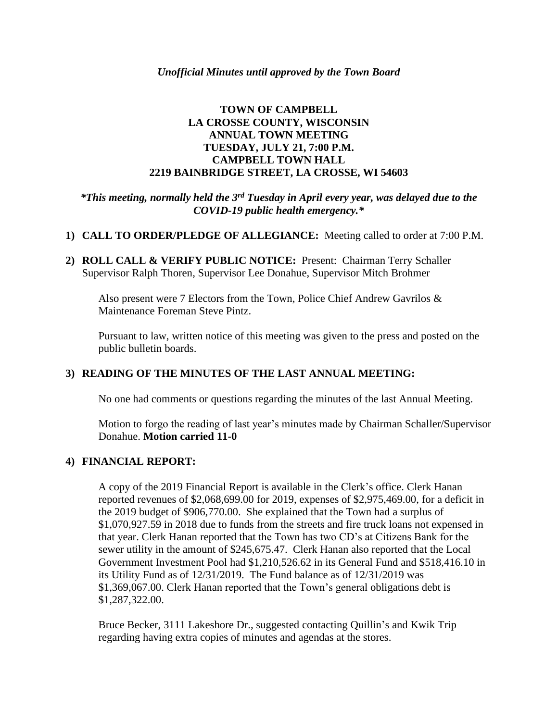### **TOWN OF CAMPBELL LA CROSSE COUNTY, WISCONSIN ANNUAL TOWN MEETING TUESDAY, JULY 21, 7:00 P.M. CAMPBELL TOWN HALL 2219 BAINBRIDGE STREET, LA CROSSE, WI 54603**

### *\*This meeting, normally held the 3rd Tuesday in April every year, was delayed due to the COVID-19 public health emergency.\**

- **1) CALL TO ORDER/PLEDGE OF ALLEGIANCE:** Meeting called to order at 7:00 P.M.
- **2) ROLL CALL & VERIFY PUBLIC NOTICE:** Present: Chairman Terry Schaller Supervisor Ralph Thoren, Supervisor Lee Donahue, Supervisor Mitch Brohmer

Also present were 7 Electors from the Town, Police Chief Andrew Gavrilos & Maintenance Foreman Steve Pintz.

Pursuant to law, written notice of this meeting was given to the press and posted on the public bulletin boards.

# **3) READING OF THE MINUTES OF THE LAST ANNUAL MEETING:**

No one had comments or questions regarding the minutes of the last Annual Meeting.

Motion to forgo the reading of last year's minutes made by Chairman Schaller/Supervisor Donahue. **Motion carried 11-0**

#### **4) FINANCIAL REPORT:**

A copy of the 2019 Financial Report is available in the Clerk's office. Clerk Hanan reported revenues of \$2,068,699.00 for 2019, expenses of \$2,975,469.00, for a deficit in the 2019 budget of \$906,770.00. She explained that the Town had a surplus of \$1,070,927.59 in 2018 due to funds from the streets and fire truck loans not expensed in that year. Clerk Hanan reported that the Town has two CD's at Citizens Bank for the sewer utility in the amount of \$245,675.47. Clerk Hanan also reported that the Local Government Investment Pool had \$1,210,526.62 in its General Fund and \$518,416.10 in its Utility Fund as of 12/31/2019. The Fund balance as of 12/31/2019 was \$1,369,067.00. Clerk Hanan reported that the Town's general obligations debt is \$1,287,322.00.

Bruce Becker, 3111 Lakeshore Dr., suggested contacting Quillin's and Kwik Trip regarding having extra copies of minutes and agendas at the stores.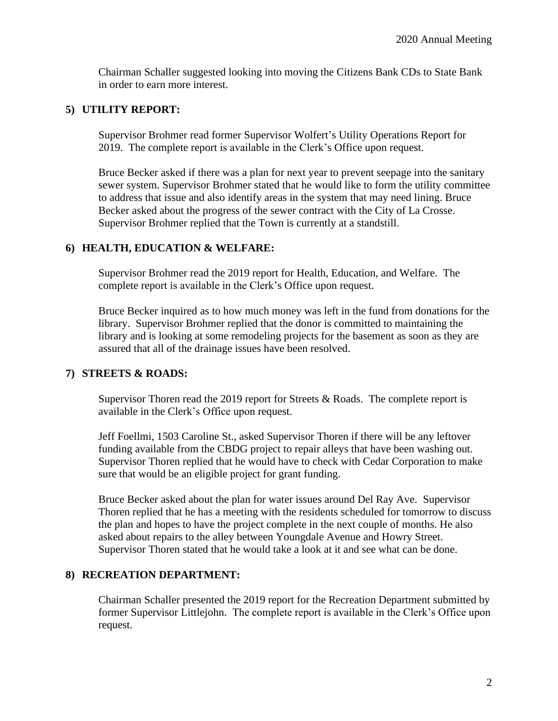Chairman Schaller suggested looking into moving the Citizens Bank CDs to State Bank in order to earn more interest.

# **5) UTILITY REPORT:**

Supervisor Brohmer read former Supervisor Wolfert's Utility Operations Report for 2019. The complete report is available in the Clerk's Office upon request.

Bruce Becker asked if there was a plan for next year to prevent seepage into the sanitary sewer system. Supervisor Brohmer stated that he would like to form the utility committee to address that issue and also identify areas in the system that may need lining. Bruce Becker asked about the progress of the sewer contract with the City of La Crosse. Supervisor Brohmer replied that the Town is currently at a standstill.

# **6) HEALTH, EDUCATION & WELFARE:**

Supervisor Brohmer read the 2019 report for Health, Education, and Welfare. The complete report is available in the Clerk's Office upon request.

Bruce Becker inquired as to how much money was left in the fund from donations for the library. Supervisor Brohmer replied that the donor is committed to maintaining the library and is looking at some remodeling projects for the basement as soon as they are assured that all of the drainage issues have been resolved.

#### **7) STREETS & ROADS:**

Supervisor Thoren read the 2019 report for Streets  $&$  Roads. The complete report is available in the Clerk's Office upon request.

Jeff Foellmi, 1503 Caroline St., asked Supervisor Thoren if there will be any leftover funding available from the CBDG project to repair alleys that have been washing out. Supervisor Thoren replied that he would have to check with Cedar Corporation to make sure that would be an eligible project for grant funding.

Bruce Becker asked about the plan for water issues around Del Ray Ave. Supervisor Thoren replied that he has a meeting with the residents scheduled for tomorrow to discuss the plan and hopes to have the project complete in the next couple of months. He also asked about repairs to the alley between Youngdale Avenue and Howry Street. Supervisor Thoren stated that he would take a look at it and see what can be done.

#### **8) RECREATION DEPARTMENT:**

Chairman Schaller presented the 2019 report for the Recreation Department submitted by former Supervisor Littlejohn. The complete report is available in the Clerk's Office upon request.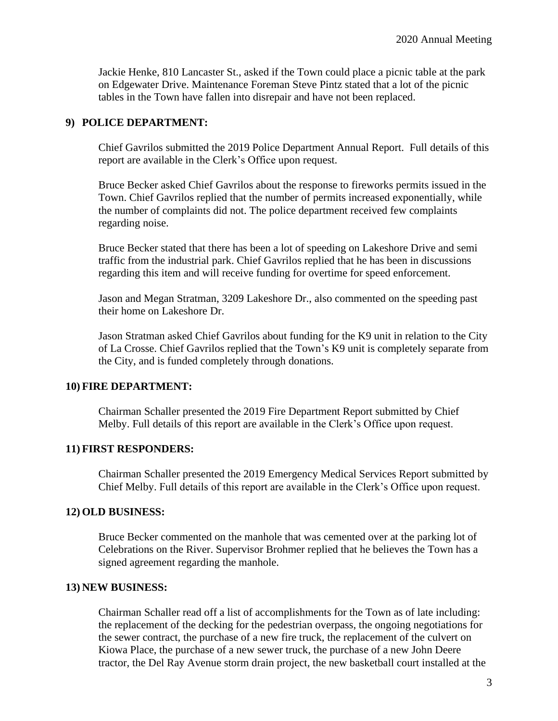Jackie Henke, 810 Lancaster St., asked if the Town could place a picnic table at the park on Edgewater Drive. Maintenance Foreman Steve Pintz stated that a lot of the picnic tables in the Town have fallen into disrepair and have not been replaced.

### **9) POLICE DEPARTMENT:**

Chief Gavrilos submitted the 2019 Police Department Annual Report. Full details of this report are available in the Clerk's Office upon request.

Bruce Becker asked Chief Gavrilos about the response to fireworks permits issued in the Town. Chief Gavrilos replied that the number of permits increased exponentially, while the number of complaints did not. The police department received few complaints regarding noise.

Bruce Becker stated that there has been a lot of speeding on Lakeshore Drive and semi traffic from the industrial park. Chief Gavrilos replied that he has been in discussions regarding this item and will receive funding for overtime for speed enforcement.

Jason and Megan Stratman, 3209 Lakeshore Dr., also commented on the speeding past their home on Lakeshore Dr.

Jason Stratman asked Chief Gavrilos about funding for the K9 unit in relation to the City of La Crosse. Chief Gavrilos replied that the Town's K9 unit is completely separate from the City, and is funded completely through donations.

#### **10) FIRE DEPARTMENT:**

Chairman Schaller presented the 2019 Fire Department Report submitted by Chief Melby. Full details of this report are available in the Clerk's Office upon request.

#### **11) FIRST RESPONDERS:**

Chairman Schaller presented the 2019 Emergency Medical Services Report submitted by Chief Melby. Full details of this report are available in the Clerk's Office upon request.

#### **12) OLD BUSINESS:**

Bruce Becker commented on the manhole that was cemented over at the parking lot of Celebrations on the River. Supervisor Brohmer replied that he believes the Town has a signed agreement regarding the manhole.

#### **13) NEW BUSINESS:**

Chairman Schaller read off a list of accomplishments for the Town as of late including: the replacement of the decking for the pedestrian overpass, the ongoing negotiations for the sewer contract, the purchase of a new fire truck, the replacement of the culvert on Kiowa Place, the purchase of a new sewer truck, the purchase of a new John Deere tractor, the Del Ray Avenue storm drain project, the new basketball court installed at the